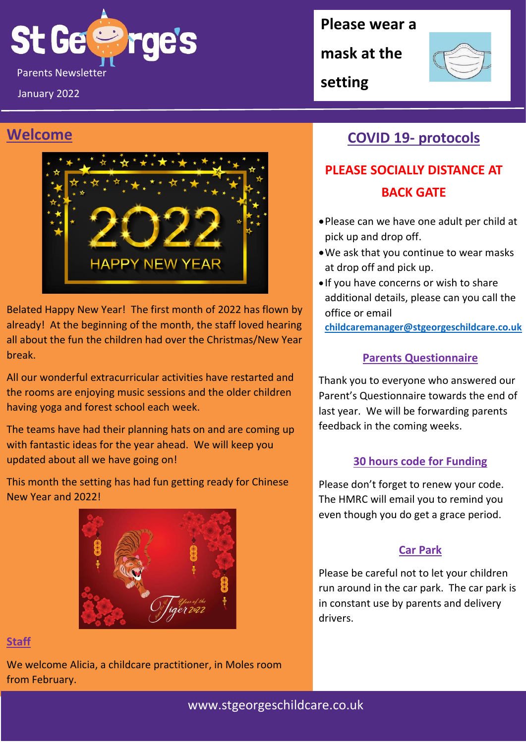

January 2022

### **Welcome**



Belated Happy New Year! The first month of 2022 has flown by already! At the beginning of the month, the staff loved hearing all about the fun the children had over the Christmas/New Year break.

All our wonderful extracurricular activities have restarted and the rooms are enjoying music sessions and the older children having yoga and forest school each week.

The teams have had their planning hats on and are coming up with fantastic ideas for the year ahead. We will keep you updated about all we have going on!

This month the setting has had fun getting ready for Chinese New Year and 2022!



#### **Staff**

We welcome Alicia, a childcare practitioner, in Moles room from February.

**Please wear a** 

**mask at the** 

**setting**



### **COVID 19- protocols**

## **PLEASE SOCIALLY DISTANCE AT BACK GATE**

- •Please can we have one adult per child at pick up and drop off.
- •We ask that you continue to wear masks at drop off and pick up.
- If you have concerns or wish to share additional details, please can you call the office or email

**[childcaremanager@stgeorgeschildcare.co.uk](mailto:childcaremanager@stgeorgeschildcare.co.uk)**

### **Parents Questionnaire**

Thank you to everyone who answered our Parent's Questionnaire towards the end of last year. We will be forwarding parents feedback in the coming weeks.

### **30 hours code for Funding**

Please don't forget to renew your code. The HMRC will email you to remind you even though you do get a grace period.

#### **Car Park**

Please be careful not to let your children run around in the car park. The car park is in constant use by parents and delivery drivers.

www.stgeorgeschildcare.co.uk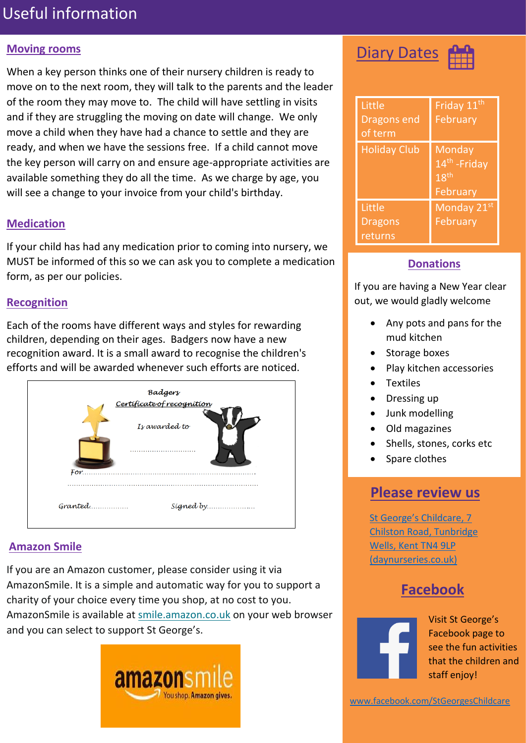## Useful information

#### **Moving rooms**

When a key person thinks one of their nursery children is ready to move on to the next room, they will talk to the parents and the leader of the room they may move to. The child will have settling in visits and if they are struggling the moving on date will change. We only move a child when they have had a chance to settle and they are ready, and when we have the sessions free. If a child cannot move the key person will carry on and ensure age-appropriate activities are available something they do all the time. As we charge by age, you will see a change to your invoice from your child's birthday.

#### **Medication**

If your child has had any medication prior to coming into nursery, we MUST be informed of this so we can ask you to complete a medication form, as per our policies.

#### **Recognition**

Each of the rooms have different ways and styles for rewarding children, depending on their ages. Badgers now have a new recognition award. It is a small award to recognise the children's efforts and will be awarded whenever such efforts are noticed.



#### **Amazon Smile**

If you are an Amazon customer, please consider using it via AmazonSmile. It is a simple and automatic way for you to support a charity of your choice every time you shop, at no cost to you. AmazonSmile is available at [smile.amazon.co.uk](https://smile.amazon.co.uk/) on your web browser and you can select to support St George's.



**Diary Dates** 

| Little<br><b>Dragons end</b><br>of term | Friday 11 <sup>th</sup><br>February                                 |
|-----------------------------------------|---------------------------------------------------------------------|
| <b>Holiday Club</b>                     | Monday<br>14 <sup>th</sup> - Friday<br>18 <sup>th</sup><br>February |
| Little                                  | Monday 21st                                                         |
| <b>Dragons</b>                          | February                                                            |
| returns                                 |                                                                     |

#### **Donations**

If you are having a New Year clear out, we would gladly welcome

- Any pots and pans for the mud kitchen
- Storage boxes
- Play kitchen accessories
- Textiles
- Dressing up
- Junk modelling
- Old magazines
- Shells, stones, corks etc
- Spare clothes

### **Please review us**

[St George's Childcare, 7](https://www.daynurseries.co.uk/daynursery.cfm/searchazref/50001050GEOA/rcsid/1001#submit-review-tab)  [Chilston Road, Tunbridge](https://www.daynurseries.co.uk/daynursery.cfm/searchazref/50001050GEOA/rcsid/1001#submit-review-tab)  [Wells, Kent TN4 9LP](https://www.daynurseries.co.uk/daynursery.cfm/searchazref/50001050GEOA/rcsid/1001#submit-review-tab)  [\(daynurseries.co.uk\)](https://www.daynurseries.co.uk/daynursery.cfm/searchazref/50001050GEOA/rcsid/1001#submit-review-tab)

### **Facebook**



Visit St George's Facebook page to see the fun activities that the children and staff enjoy!

[www.facebook.com/StGeorgesChildcare](http://www.facebook.com/StGeorgesChildcare)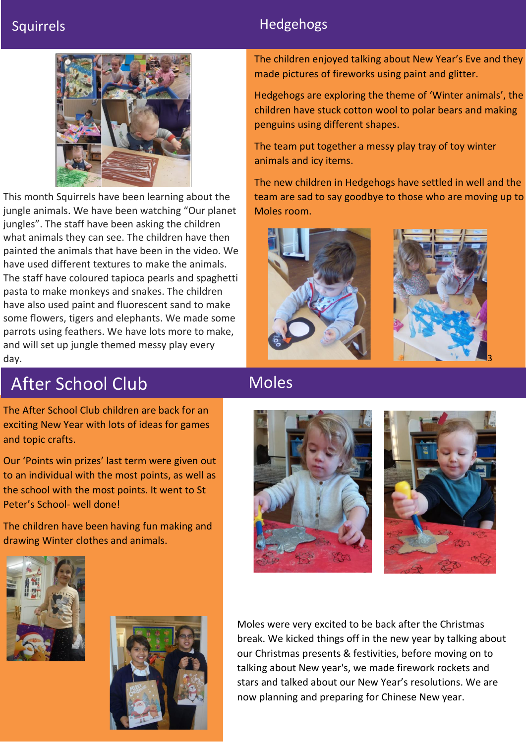### Squirrels **Hedgehogs Hedgehogs**



This month Squirrels have been learning about the jungle animals. We have been watching "Our planet jungles". The staff have been asking the children what animals they can see. The children have then painted the animals that have been in the video. We have used different textures to make the animals. The staff have coloured tapioca pearls and spaghetti pasta to make monkeys and snakes. The children have also used paint and fluorescent sand to make some flowers, tigers and elephants. We made some parrots using feathers. We have lots more to make, and will set up jungle themed messy play every day.

The children enjoyed talking about New Year's Eve and they made pictures of fireworks using paint and glitter.

Hedgehogs are exploring the theme of 'Winter animals', the children have stuck cotton wool to polar bears and making penguins using different shapes.

The team put together a messy play tray of toy winter animals and icy items.

The new children in Hedgehogs have settled in well and the team are sad to say goodbye to those who are moving up to Moles room.



# After School Club

The After School Club children are back for an exciting New Year with lots of ideas for games and topic crafts.

Our 'Points win prizes' last term were given out to an individual with the most points, as well as the school with the most points. It went to St Peter's School- well done!

The children have been having fun making and drawing Winter clothes and animals.





Moles





Moles were very excited to be back after the Christmas break. We kicked things off in the new year by talking about our Christmas presents & festivities, before moving on to talking about New year's, we made firework rockets and stars and talked about our New Year's resolutions. We are now planning and preparing for Chinese New year.